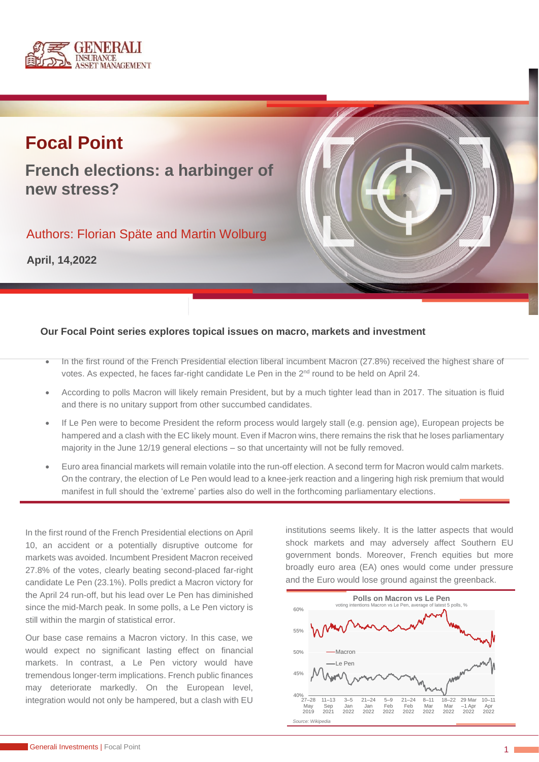

# **Focal Point**

**French elections: a harbinger of new stress?**

Authors: Florian Späte and Martin Wolburg

**April, 14,2022**



### **Our Focal Point series explores topical issues on macro, markets and investment**

- In the first round of the French Presidential election liberal incumbent Macron (27.8%) received the highest share of votes. As expected, he faces far-right candidate Le Pen in the 2<sup>nd</sup> round to be held on April 24.
- According to polls Macron will likely remain President, but by a much tighter lead than in 2017. The situation is fluid and there is no unitary support from other succumbed candidates.
- If Le Pen were to become President the reform process would largely stall (e.g. pension age), European projects be hampered and a clash with the EC likely mount. Even if Macron wins, there remains the risk that he loses parliamentary majority in the June 12/19 general elections – so that uncertainty will not be fully removed.
- Euro area financial markets will remain volatile into the run-off election. A second term for Macron would calm markets. On the contrary, the election of Le Pen would lead to a knee-jerk reaction and a lingering high risk premium that would manifest in full should the 'extreme' parties also do well in the forthcoming parliamentary elections.

In the first round of the French Presidential elections on April 10, an accident or a potentially disruptive outcome for markets was avoided. Incumbent President Macron received 27.8% of the votes, clearly beating second-placed far-right candidate Le Pen (23.1%). Polls predict a Macron victory for the April 24 run-off, but his lead over Le Pen has diminished since the mid-March peak. In some polls, a Le Pen victory is still within the margin of statistical error.

Our base case remains a Macron victory. In this case, we would expect no significant lasting effect on financial markets. In contrast, a Le Pen victory would have tremendous longer-term implications. French public finances may deteriorate markedly. On the European level, integration would not only be hampered, but a clash with EU

institutions seems likely. It is the latter aspects that would shock markets and may adversely affect Southern EU government bonds. Moreover, French equities but more broadly euro area (EA) ones would come under pressure and the Euro would lose ground against the greenback.

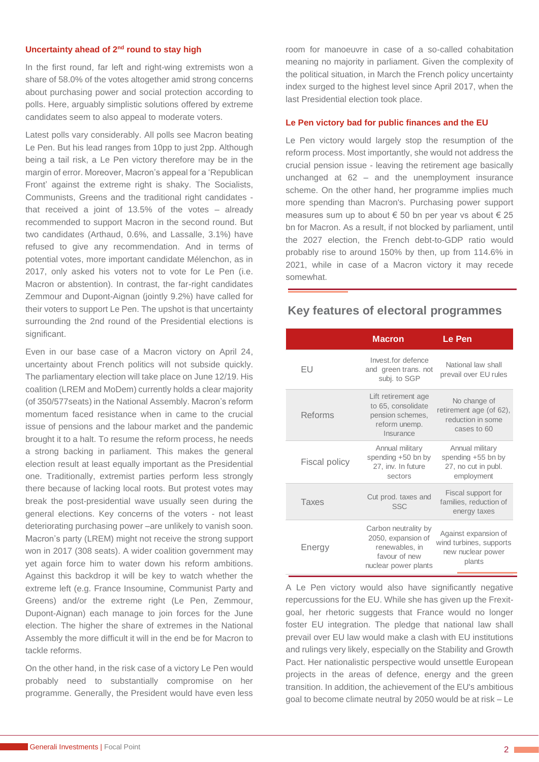#### **Uncertainty ahead of 2nd round to stay high**

In the first round, far left and right-wing extremists won a share of 58.0% of the votes altogether amid strong concerns about purchasing power and social protection according to polls. Here, arguably simplistic solutions offered by extreme candidates seem to also appeal to moderate voters.

Latest polls vary considerably. All polls see Macron beating Le Pen. But his lead ranges from 10pp to just 2pp. Although being a tail risk, a Le Pen victory therefore may be in the margin of error. Moreover, Macron's appeal for a 'Republican Front' against the extreme right is shaky. The Socialists, Communists, Greens and the traditional right candidates that received a joint of 13.5% of the votes – already recommended to support Macron in the second round. But two candidates (Arthaud, 0.6%, and Lassalle, 3.1%) have refused to give any recommendation. And in terms of potential votes, more important candidate Mélenchon, as in 2017, only asked his voters not to vote for Le Pen (i.e. Macron or abstention). In contrast, the far-right candidates Zemmour and Dupont-Aignan (jointly 9.2%) have called for their voters to support Le Pen. The upshot is that uncertainty surrounding the 2nd round of the Presidential elections is significant.

Even in our base case of a Macron victory on April 24, uncertainty about French politics will not subside quickly. The parliamentary election will take place on June 12/19. His coalition (LREM and MoDem) currently holds a clear majority (of 350/577seats) in the National Assembly. Macron's reform momentum faced resistance when in came to the crucial issue of pensions and the labour market and the pandemic brought it to a halt. To resume the reform process, he needs a strong backing in parliament. This makes the general election result at least equally important as the Presidential one. Traditionally, extremist parties perform less strongly there because of lacking local roots. But protest votes may break the post-presidential wave usually seen during the general elections. Key concerns of the voters - not least deteriorating purchasing power –are unlikely to vanish soon. Macron's party (LREM) might not receive the strong support won in 2017 (308 seats). A wider coalition government may yet again force him to water down his reform ambitions. Against this backdrop it will be key to watch whether the extreme left (e.g. France Insoumine, Communist Party and Greens) and/or the extreme right (Le Pen, Zemmour, Dupont-Aignan) each manage to join forces for the June election. The higher the share of extremes in the National Assembly the more difficult it will in the end be for Macron to tackle reforms.

On the other hand, in the risk case of a victory Le Pen would probably need to substantially compromise on her programme. Generally, the President would have even less

room for manoeuvre in case of a so-called cohabitation meaning no majority in parliament. Given the complexity of the political situation, in March the French policy uncertainty index surged to the highest level since April 2017, when the last Presidential election took place.

#### **Le Pen victory bad for public finances and the EU**

Le Pen victory would largely stop the resumption of the reform process. Most importantly, she would not address the crucial pension issue - leaving the retirement age basically unchanged at 62 – and the unemployment insurance scheme. On the other hand, her programme implies much more spending than Macron's. Purchasing power support measures sum up to about € 50 bn per year vs about € 25 bn for Macron. As a result, if not blocked by parliament, until the 2027 election, the French debt-to-GDP ratio would probably rise to around 150% by then, up from 114.6% in 2021, while in case of a Macron victory it may recede somewhat.

| Key features of electoral programmes |                                                                                                       |                                                                                                                                                                                                                                                                                                                                                                                                                                                                                                                                                                                                                                              |
|--------------------------------------|-------------------------------------------------------------------------------------------------------|----------------------------------------------------------------------------------------------------------------------------------------------------------------------------------------------------------------------------------------------------------------------------------------------------------------------------------------------------------------------------------------------------------------------------------------------------------------------------------------------------------------------------------------------------------------------------------------------------------------------------------------------|
|                                      | <b>Macron</b>                                                                                         | Le Pen                                                                                                                                                                                                                                                                                                                                                                                                                                                                                                                                                                                                                                       |
| EU                                   | Invest for defence<br>and green trans. not<br>subj. to SGP                                            | National law shall<br>prevail over EU rules                                                                                                                                                                                                                                                                                                                                                                                                                                                                                                                                                                                                  |
| <b>Reforms</b>                       | Lift retirement age<br>to 65, consolidate<br>pension schemes,<br>reform unemp.<br>Insurance           | No change of<br>retirement age (of 62),<br>reduction in some<br>cases to 60                                                                                                                                                                                                                                                                                                                                                                                                                                                                                                                                                                  |
| Fiscal policy                        | Annual military<br>spending +50 bn by<br>27, inv. In future<br>sectors                                | Annual military<br>spending +55 bn by<br>27, no cut in publ.<br>employment                                                                                                                                                                                                                                                                                                                                                                                                                                                                                                                                                                   |
| <b>Taxes</b>                         | Cut prod. taxes and<br><b>SSC</b>                                                                     | Fiscal support for<br>families, reduction of<br>energy taxes                                                                                                                                                                                                                                                                                                                                                                                                                                                                                                                                                                                 |
| Energy                               | Carbon neutrality by<br>2050, expansion of<br>renewables, in<br>favour of new<br>nuclear power plants | Against expansion of<br>wind turbines, supports<br>new nuclear power<br>plants                                                                                                                                                                                                                                                                                                                                                                                                                                                                                                                                                               |
|                                      |                                                                                                       | A Le Pen victory would also have significantly negative<br>repercussions for the EU. While she has given up the Frexit-<br>goal, her rhetoric suggests that France would no longer<br>foster EU integration. The pledge that national law shall<br>prevail over EU law would make a clash with EU institutions<br>and rulings very likely, especially on the Stability and Growth<br>Pact. Her nationalistic perspective would unsettle European<br>projects in the areas of defence, energy and the green<br>transition. In addition, the achievement of the EU's ambitious<br>goal to become climate neutral by 2050 would be at risk - Le |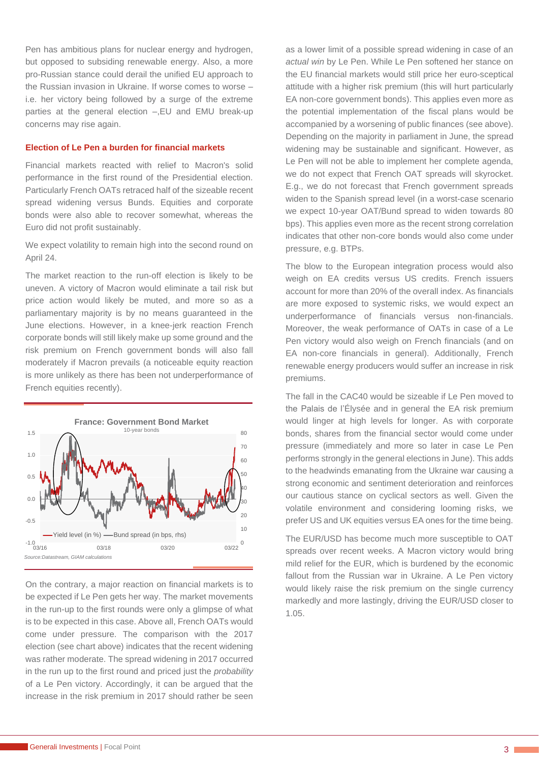Pen has ambitious plans for nuclear energy and hydrogen, but opposed to subsiding renewable energy. Also, a more pro-Russian stance could derail the unified EU approach to the Russian invasion in Ukraine. If worse comes to worse – i.e. her victory being followed by a surge of the extreme parties at the general election –,EU and EMU break-up concerns may rise again.

#### **Election of Le Pen a burden for financial markets**

Financial markets reacted with relief to Macron's solid performance in the first round of the Presidential election. Particularly French OATs retraced half of the sizeable recent spread widening versus Bunds. Equities and corporate bonds were also able to recover somewhat, whereas the Euro did not profit sustainably.

We expect volatility to remain high into the second round on April 24.

The market reaction to the run-off election is likely to be uneven. A victory of Macron would eliminate a tail risk but price action would likely be muted, and more so as a parliamentary majority is by no means guaranteed in the June elections. However, in a knee-jerk reaction French corporate bonds will still likely make up some ground and the risk premium on French government bonds will also fall moderately if Macron prevails (a noticeable equity reaction is more unlikely as there has been not underperformance of French equities recently).



On the contrary, a major reaction on financial markets is to be expected if Le Pen gets her way. The market movements in the run-up to the first rounds were only a glimpse of what is to be expected in this case. Above all, French OATs would come under pressure. The comparison with the 2017 election (see chart above) indicates that the recent widening was rather moderate. The spread widening in 2017 occurred in the run up to the first round and priced just the *probability* of a Le Pen victory. Accordingly, it can be argued that the increase in the risk premium in 2017 should rather be seen

as a lower limit of a possible spread widening in case of an *actual win* by Le Pen. While Le Pen softened her stance on the EU financial markets would still price her euro-sceptical attitude with a higher risk premium (this will hurt particularly EA non-core government bonds). This applies even more as the potential implementation of the fiscal plans would be accompanied by a worsening of public finances (see above). Depending on the majority in parliament in June, the spread widening may be sustainable and significant. However, as Le Pen will not be able to implement her complete agenda, we do not expect that French OAT spreads will skyrocket. E.g., we do not forecast that French government spreads widen to the Spanish spread level (in a worst-case scenario we expect 10-year OAT/Bund spread to widen towards 80 bps). This applies even more as the recent strong correlation indicates that other non-core bonds would also come under pressure, e.g. BTPs.

The blow to the European integration process would also weigh on EA credits versus US credits. French issuers account for more than 20% of the overall index. As financials are more exposed to systemic risks, we would expect an underperformance of financials versus non-financials. Moreover, the weak performance of OATs in case of a Le Pen victory would also weigh on French financials (and on EA non-core financials in general). Additionally, French renewable energy producers would suffer an increase in risk premiums.

The fall in the CAC40 would be sizeable if Le Pen moved to the Palais de l'Élysée and in general the EA risk premium would linger at high levels for longer. As with corporate bonds, shares from the financial sector would come under pressure (immediately and more so later in case Le Pen performs strongly in the general elections in June). This adds to the headwinds emanating from the Ukraine war causing a strong economic and sentiment deterioration and reinforces our cautious stance on cyclical sectors as well. Given the volatile environment and considering looming risks, we prefer US and UK equities versus EA ones for the time being.

The EUR/USD has become much more susceptible to OAT spreads over recent weeks. A Macron victory would bring mild relief for the EUR, which is burdened by the economic fallout from the Russian war in Ukraine. A Le Pen victory would likely raise the risk premium on the single currency markedly and more lastingly, driving the EUR/USD closer to 1.05.